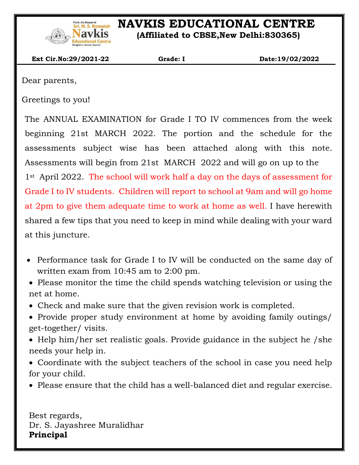

# **NAVKIS EDUCATIONAL CENTRE**

 **(Affiliated to CBSE,New Delhi:830365)**

 **Ext Cir.No:29/2021-22 Grade: I Date:19/02/2022**

Dear parents,

 $\overline{\phantom{a}}$ 

Greetings to you!

The ANNUAL EXAMINATION for Grade I TO IV commences from the week beginning 21st MARCH 2022. The portion and the schedule for the assessments subject wise has been attached along with this note. Assessments will begin from 21st MARCH 2022 and will go on up to the 1st April 2022. The school will work half a day on the days of assessment for Grade I to IV students. Children will report to school at 9am and will go home at 2pm to give them adequate time to work at home as well. I have herewith shared a few tips that you need to keep in mind while dealing with your ward at this juncture.

- Performance task for Grade I to IV will be conducted on the same day of written exam from 10:45 am to 2:00 pm.
- Please monitor the time the child spends watching television or using the net at home.
- Check and make sure that the given revision work is completed.
- Provide proper study environment at home by avoiding family outings/ get-together/ visits.
- Help him/her set realistic goals. Provide guidance in the subject he /she needs your help in.
- Coordinate with the subject teachers of the school in case you need help for your child.
- Please ensure that the child has a well-balanced diet and regular exercise.

Best regards, Dr. S. Jayashree Muralidhar **Principal**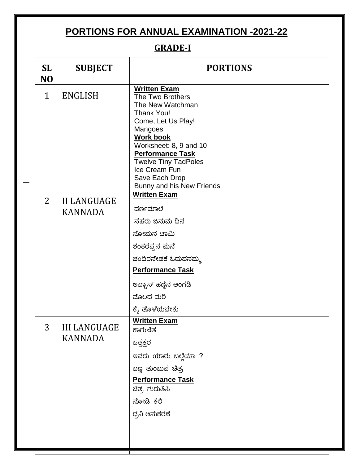# **PORTIONS FOR ANNUAL EXAMINATION -2021-22**

## **GRADE-I**

| <b>SL</b><br>N <sub>O</sub> | <b>SUBJECT</b>                        | <b>PORTIONS</b>                                                                                                                                                                                                                                                                    |
|-----------------------------|---------------------------------------|------------------------------------------------------------------------------------------------------------------------------------------------------------------------------------------------------------------------------------------------------------------------------------|
| $\mathbf{1}$                | <b>ENGLISH</b>                        | <b>Written Exam</b><br>The Two Brothers<br>The New Watchman<br>Thank You!<br>Come, Let Us Play!<br>Mangoes<br><b>Work book</b><br>Worksheet: 8, 9 and 10<br><b>Performance Task</b><br><b>Twelve Tiny TadPoles</b><br>Ice Cream Fun<br>Save Each Drop<br>Bunny and his New Friends |
| 2                           | <b>II LANGUAGE</b><br><b>KANNADA</b>  | <b>Written Exam</b><br>ವರ್ಣಮಾಲೆ<br>ನೆಹರು ಜನುಮ ದಿನ<br>ಸೋಮನ ಟಾಮಿ<br>ಶಂಕರಪ್ಪನ ಮನೆ                                                                                                                                                                                                     |
|                             |                                       | ಚಂದಿರನೇತಕೆ ಓದುವನಮ್ಮ<br><b>Performance Task</b><br>ಅಬ್ಬಾಸ್ ಹಣ್ಣಿನ ಅಂಗಡಿ<br>ಮೊಲದ ಮರಿ<br>ಕ್ಕೆ ತೊಳೆಯಬೇಕು                                                                                                                                                                               |
| 3                           | <b>III LANGUAGE</b><br><b>KANNADA</b> | <b>Written Exam</b><br>ಕಾಗುಣಿತ<br>ಒತ್ತಕ್ಷರ<br>ಇವರು ಯಾರು ಬಲ್ಲೆಯಾ ?<br>ಬಣ್ಣ ತುಂಬುವ ಚಿತ್ರ<br><b>Performance Task</b><br>ಚಿತ್ರ ಗುರುತಿಸಿ<br>ನೋಡಿ ಕಲಿ<br>ಧ್ವನಿ ಅನುಕರಣೆ                                                                                                                   |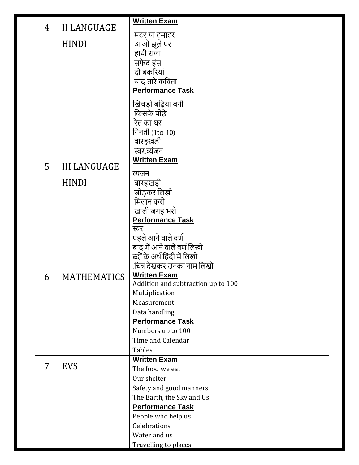|                |                     | <b>Written Exam</b>                                       |  |
|----------------|---------------------|-----------------------------------------------------------|--|
| $\overline{4}$ | <b>II LANGUAGE</b>  |                                                           |  |
|                |                     | मटर या टमाटर                                              |  |
|                | <b>HINDI</b>        | आओ झूले पर<br>हाथी राजा                                   |  |
|                |                     | सफेद हंस                                                  |  |
|                |                     | दो बकरियां                                                |  |
|                |                     | चांद तारे कविता                                           |  |
|                |                     | <b>Performance Task</b>                                   |  |
|                |                     |                                                           |  |
|                |                     | खिचड़ी बढ़िया बनी                                         |  |
|                |                     | किसके पीछे                                                |  |
|                |                     | रेत का घर<br>गिनती (1to 10)                               |  |
|                |                     | बारहखड़ी                                                  |  |
|                |                     | स्वर,व्यंजन                                               |  |
|                |                     | <b>Written Exam</b>                                       |  |
| 5              | <b>III LANGUAGE</b> | व्यंजन                                                    |  |
|                | <b>HINDI</b>        | बारहखड़ी                                                  |  |
|                |                     | जोड़कर लिखो                                               |  |
|                |                     | मिलान करो                                                 |  |
|                |                     | खाली जगह भरो                                              |  |
|                |                     | <b>Performance Task</b>                                   |  |
|                |                     | स्वर                                                      |  |
|                |                     | पहले आने वाले वर्ण                                        |  |
|                |                     | बाद में आने वाले वर्ण लिखो                                |  |
|                |                     | ब्दों के अर्थ हिंदी में लिखो                              |  |
|                |                     | .चित्र देखकर उनका नाम लिखो                                |  |
| 6              | <b>MATHEMATICS</b>  | <b>Written Exam</b><br>Addition and subtraction up to 100 |  |
|                |                     | Multiplication                                            |  |
|                |                     | Measurement                                               |  |
|                |                     | Data handling                                             |  |
|                |                     | <b>Performance Task</b>                                   |  |
|                |                     | Numbers up to 100                                         |  |
|                |                     | Time and Calendar                                         |  |
|                |                     | <b>Tables</b>                                             |  |
| 7              |                     | <b>Written Exam</b>                                       |  |
|                | <b>EVS</b>          | The food we eat                                           |  |
|                |                     | Our shelter                                               |  |
|                |                     | Safety and good manners                                   |  |
|                |                     | The Earth, the Sky and Us                                 |  |
|                |                     | <b>Performance Task</b>                                   |  |
|                |                     | People who help us                                        |  |
|                |                     | Celebrations                                              |  |
|                |                     | Water and us                                              |  |
|                |                     | Travelling to places                                      |  |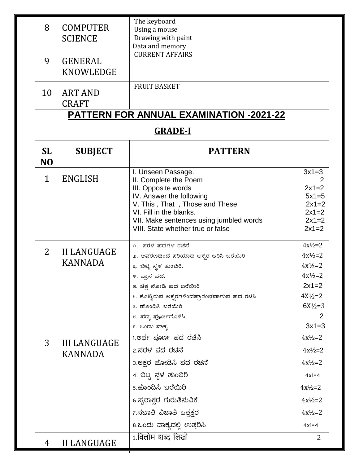| 8  | <b>COMPUTER</b><br><b>SCIENCE</b> | The keyboard<br>Using a mouse<br>Drawing with paint<br>Data and memory |
|----|-----------------------------------|------------------------------------------------------------------------|
| 9  | <b>GENERAL</b><br>KNOWLEDGE       | <b>CURRENT AFFAIRS</b>                                                 |
| 10 | <b>ART AND</b><br><b>CRAFT</b>    | <b>FRUIT BASKET</b>                                                    |

## **PATTERN FOR ANNUAL EXAMINATION -2021-22**

## **GRADE-I**

| <b>SL</b><br>N <sub>O</sub> | <b>SUBJECT</b>                        | <b>PATTERN</b>                                                                                                                                                                                                                              |                                                                           |
|-----------------------------|---------------------------------------|---------------------------------------------------------------------------------------------------------------------------------------------------------------------------------------------------------------------------------------------|---------------------------------------------------------------------------|
| $\mathbf{1}$                | <b>ENGLISH</b>                        | I. Unseen Passage.<br>II. Complete the Poem<br>III. Opposite words<br>IV. Answer the following<br>V. This, That, Those and These<br>VI. Fill in the blanks.<br>VII. Make sentences using jumbled words<br>VIII. State whether true or false | $3x1=3$<br>$2x1=2$<br>$5x1=5$<br>$2x1=2$<br>$2x1=2$<br>$2x1=2$<br>$2x1=2$ |
| $\overline{2}$              | <b>II LANGUAGE</b><br><b>KANNADA</b>  | ೧. ಸರಳ ಪದಗಳ ರಚನೆ<br>೨. ಆವರಣದಿಂದ ಸರಿಯಾದ ಅಕ್ಬರ ಆರಿಸಿ ಬರೆಯಿರಿ                                                                                                                                                                                  | $4x^{1/2=2}$<br>$4x^{1/2}=2$                                              |
|                             |                                       | ೩. ಬಿಟ್ಟ ಸ್ಥಳ ತುಂಬಿರಿ.<br>೪. ಪ್ರಾಸ ಪದ.                                                                                                                                                                                                      | $4x^{1/2}=2$<br>$4x^{1/2}=2$                                              |
|                             |                                       | ೫. ಚಿತ್ರ ನೋಡಿ ಪದ ಬರೆಯಿರಿ<br>೬. ಕೊಟ್ಟಿರುವ ಅಕ್ಬರಗಳಿಂದಪ್ರಾರಂಭವಾಗುವ ಪದ ರಚಿಸಿ                                                                                                                                                                    | $2x1=2$<br>$4X\frac{1}{2}=2$                                              |
|                             |                                       | ೭. ಹೊಂದಿಸಿ ಬರೆಯಿರಿ<br>೮. ಪದ್ಯ ಪೂರ್ಣಗೊಳಿಸಿ.<br>೯. ಒಂದು ವಾಕ್ಯ                                                                                                                                                                                 | $6X\frac{1}{2}=3$<br>$3x1=3$                                              |
|                             | <b>III LANGUAGE</b><br><b>KANNADA</b> | 1.ಅರ್ಥ ಪೂರ್ಣ ಪದ ರಚೆಸಿ                                                                                                                                                                                                                       | $4x\frac{1}{2}=2$                                                         |
| 3                           |                                       | 2.ಸರಳ ಪದ ರಚನೆ                                                                                                                                                                                                                               | $4x\frac{1}{2}=2$                                                         |
|                             |                                       | 3.ಅಕ್ಷರ ಜೋಡಿಸಿ ಪದ ರಚನೆ                                                                                                                                                                                                                      | $4x\frac{1}{2}=2$                                                         |
|                             |                                       | 4. ಬಿಟ್ಟ ಸ್ಥಳ ತುಂಬಿರಿ                                                                                                                                                                                                                       | $4x1 = 4$                                                                 |
|                             |                                       | 5.ಹೊಂದಿಸಿ ಬರೆಯಿರಿ                                                                                                                                                                                                                           | $4x\frac{1}{2}=2$                                                         |
|                             |                                       | 6.ಸ್ವರಾಕ್ಷರ ಗುರುತಿಸುವಿಕೆ                                                                                                                                                                                                                    | $4x^{1}/_{2}=2$                                                           |
|                             |                                       | 7.ಸಜಾತಿ ವಿಜಾತಿ ಒತ್ತಕ್ಷರ                                                                                                                                                                                                                     | $4x^{1}/_{2}=2$                                                           |
|                             |                                       | 8.ಒಂದು ವಾಕ್ಯದಲ್ಲಿ ಉತ್ತರಿಸಿ                                                                                                                                                                                                                  | $4x1=4$                                                                   |
| 4                           | <b>II LANGUAGE</b>                    | 1.विलोम शब्द लिखो                                                                                                                                                                                                                           | $\overline{2}$                                                            |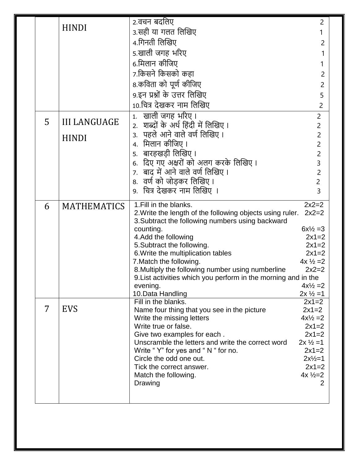|   |                     | 2.वचन बर्दालेए                                                                   | 2                                           |
|---|---------------------|----------------------------------------------------------------------------------|---------------------------------------------|
|   | <b>HINDI</b>        | ३.सही या गलत लिखिए                                                               |                                             |
|   |                     | 4.गिनती लिखिए                                                                    | 2                                           |
|   |                     | 5.खाली जगह भरिए                                                                  |                                             |
|   |                     | 6.मिलान कीजिए                                                                    |                                             |
|   |                     | 7.किसने किसको कहा                                                                |                                             |
|   |                     |                                                                                  | 2                                           |
|   |                     | 8.कविता को पूर्ण कीजिए                                                           | 2                                           |
|   |                     | 9.इन प्रश्नों के उत्तर लिखिए                                                     | 5                                           |
|   |                     | 10.चित्र देखकर नाम लिखिए                                                         | 2                                           |
| 5 | <b>III LANGUAGE</b> | खाली जगह भरिए।<br>1.                                                             | $\overline{c}$                              |
|   |                     | शब्दों के अर्थ हिंदी में लिखिए ।<br>$\mathcal{L}$                                | $\overline{c}$                              |
|   | <b>HINDI</b>        | ३.  पहले आने वाले वर्ण लिखिए ।                                                   | $\overline{2}$                              |
|   |                     | 4. मिलान कीजिए ।                                                                 | $\overline{2}$                              |
|   |                     | 5.  बारहखड़ी लिखिए ।                                                             | $\overline{2}$                              |
|   |                     | 6. दिए गए अक्षरों को अलग करके लिखिए ।                                            | $\overline{3}$                              |
|   |                     | 7. बाद में आने वाले वर्ण लिखिए ।                                                 | $\overline{2}$                              |
|   |                     | 8.  वर्ण को जोड़कर लिखिए ।                                                       | $\overline{2}$                              |
|   |                     | 9.  चित्र देखकर नाम लिखिए ।                                                      | 3                                           |
| 6 | <b>MATHEMATICS</b>  | 1. Fill in the blanks.                                                           | $2x2=2$                                     |
|   |                     | 2. Write the length of the following objects using ruler.                        | $2x2=2$                                     |
|   |                     | 3. Subtract the following numbers using backward                                 |                                             |
|   |                     | counting.<br>4. Add the following                                                | $6x\frac{1}{2} = 3$<br>$2x1=2$              |
|   |                     | 5. Subtract the following.                                                       | $2x1=2$                                     |
|   |                     | 6. Write the multiplication tables                                               | $2x1=2$                                     |
|   |                     | 7. Match the following.                                                          | $4x\frac{1}{2} = 2$                         |
|   |                     | 8. Multiply the following number using numberline                                | $2x2=2$                                     |
|   |                     | 9. List activities which you perform in the morning and in the                   |                                             |
|   |                     | evening.<br>10.Data Handling                                                     | $4x\frac{1}{2} = 2$<br>$2x \frac{1}{2} = 1$ |
|   |                     | Fill in the blanks.                                                              | $2x1=2$                                     |
| 7 | <b>EVS</b>          | Name four thing that you see in the picture                                      | $2x1=2$                                     |
|   |                     | Write the missing letters                                                        | $4x\frac{1}{2} = 2$                         |
|   |                     | Write true or false.                                                             | $2x1=2$                                     |
|   |                     | Give two examples for each.<br>Unscramble the letters and write the correct word | $2x1=2$<br>$2x \frac{1}{2} = 1$             |
|   |                     | Write "Y" for yes and "N " for no.                                               | $2x1=2$                                     |
|   |                     | Circle the odd one out.                                                          | $2x\frac{1}{2}=1$                           |
|   |                     | Tick the correct answer.                                                         | $2x1=2$                                     |
|   |                     | Match the following.                                                             | $4x \frac{1}{2} = 2$                        |
|   |                     |                                                                                  |                                             |
|   |                     | Drawing                                                                          | 2                                           |
|   |                     |                                                                                  |                                             |